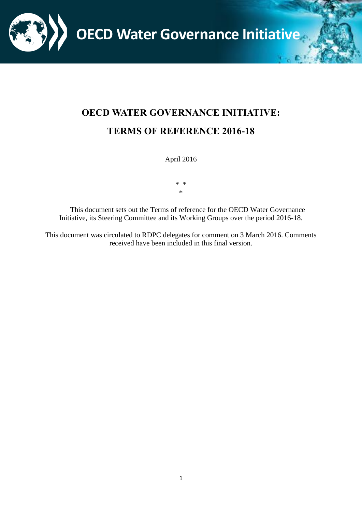**OECD Water Governance Initiative**

# **OECD WATER GOVERNANCE INITIATIVE: TERMS OF REFERENCE 2016-18**

April 2016

\* \* \*

This document sets out the Terms of reference for the OECD Water Governance Initiative, its Steering Committee and its Working Groups over the period 2016-18.

This document was circulated to RDPC delegates for comment on 3 March 2016. Comments received have been included in this final version.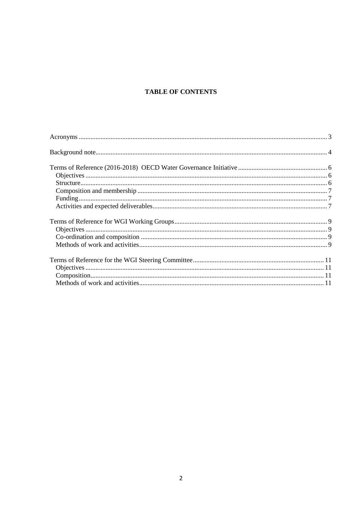# **TABLE OF CONTENTS**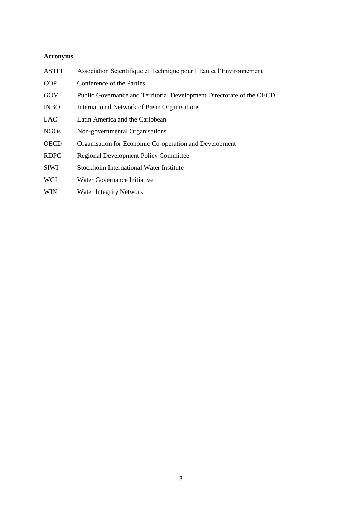# <span id="page-2-0"></span>**Acronyms**

| <b>ASTEE</b> | Association Scientifique et Technique pour l'Eau et l'Environnement   |
|--------------|-----------------------------------------------------------------------|
| <b>COP</b>   | Conference of the Parties                                             |
| GOV          | Public Governance and Territorial Development Directorate of the OECD |
| <b>INBO</b>  | International Network of Basin Organisations                          |
| <b>LAC</b>   | Latin America and the Caribbean                                       |
| <b>NGOs</b>  | Non-governmental Organisations                                        |
| <b>OECD</b>  | Organisation for Economic Co-operation and Development                |
| <b>RDPC</b>  | <b>Regional Development Policy Committee</b>                          |
| <b>SIWI</b>  | Stockholm International Water Institute                               |
| WGI          | Water Governance Initiative                                           |
| <b>WIN</b>   | <b>Water Integrity Network</b>                                        |
|              |                                                                       |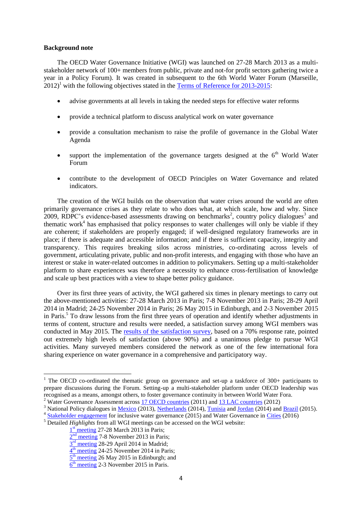### <span id="page-3-0"></span>**Background note**

The OECD Water Governance Initiative (WGI) was launched on 27-28 March 2013 as a multistakeholder network of 100+ members from public, private and not-for profit sectors gathering twice a year in a Policy Forum). It was created in subsequent to the 6th World Water Forum (Marseille,  $2012$ <sup>1</sup> with the following objectives stated in the [Terms of Reference for 2013-2015:](http://www.oecd.org/gov/regional-policy/Terms-of-Reference%20-OECD-WGI.pdf)

- advise governments at all levels in taking the needed steps for effective water reforms
- provide a technical platform to discuss analytical work on water governance
- provide a consultation mechanism to raise the profile of governance in the Global Water Agenda
- support the implementation of the governance targets designed at the  $6<sup>th</sup>$  World Water Forum
- contribute to the development of OECD Principles on Water Governance and related indicators.

The creation of the WGI builds on the observation that water crises around the world are often primarily governance crises as they relate to who does what, at which scale, how and why. Since 2009, RDPC's evidence-based assessments drawing on benchmarks<sup>2</sup>, country policy dialogues<sup>3</sup> and thematic work<sup>4</sup> has emphasised that policy responses to water challenges will only be viable if they are coherent; if stakeholders are properly engaged; if well-designed regulatory frameworks are in place; if there is adequate and accessible information; and if there is sufficient capacity, integrity and transparency. This requires breaking silos across ministries, co-ordinating across levels of government, articulating private, public and non-profit interests, and engaging with those who have an interest or stake in water-related outcomes in addition to policymakers. Setting up a multi-stakeholder platform to share experiences was therefore a necessity to enhance cross-fertilisation of knowledge and scale up best practices with a view to shape better policy guidance.

Over its first three years of activity, the WGI gathered six times in plenary meetings to carry out the above-mentioned activities: 27-28 March 2013 in Paris; 7-8 November 2013 in Paris; 28-29 April 2014 in Madrid; 24-25 November 2014 in Paris; 26 May 2015 in Edinburgh, and 2-3 November 2015 in Paris.<sup>5</sup> To draw lessons from the first three years of operation and identify whether adjustments in terms of content, structure and results were needed, a satisfaction survey among WGI members was conducted in May 2015. The [results of the satisfaction survey,](http://www.oecd.org/gov/regional-policy/WGI-Survey-synthesis.pdf) based on a 70% response rate, pointed out extremely high levels of satisfaction (above 90%) and a unanimous pledge to pursue WGI activities. Many surveyed members considered the network as one of the few international fora sharing experience on water governance in a comprehensive and participatory way.

 $\overline{a}$ 

<sup>&</sup>lt;sup>1</sup> The OECD co-ordinated the thematic group on governance and set-up a taskforce of  $300+$  participants to prepare discussions during the Forum. Setting-up a multi-stakeholder platform under OECD leadership was recognised as a means, amongst others, to foster governance continuity in between World Water Fora.

<sup>&</sup>lt;sup>2</sup> Water Governance Assessment across [17 OECD countries](http://www.oecd.org/gov/regional-policy/watergovernanceinoecdcountriesamulti-levelapproach.htm) (2011) and [13 LAC countries](http://www.oecd.org/gov/regional-policy/watergovernanceinlatinamericaandthecaribbeanamulti-levelapproach.htm) (2012)

<sup>&</sup>lt;sup>3</sup> National Policy dialogues in <u>Mexico</u> (2013)[, Netherlands](http://www.oecd.org/gov/regional-policy/water-governance-netherlands.htm) (2014), [Tunisia](http://www.oecd.org/governance/water-governance-in-tunisia-9789264174337-en.htm) and [Jordan](http://www.oecd.org/countries/jordan/water-service-governance-in-jordan-9789264213753-en.htm) (2014) an[d Brazil](http://www.oecd.org/governance/regional-policy/water-resources-governance-in-brazil-9789264238121-en.htm) (2015).

<sup>&</sup>lt;sup>4</sup> [Stakeholder engagement](http://www.oecd.org/environment/stakeholder-engagement-for-inclusive-water-governance-9789264231122-en.htm) for inclusive water governance (2015) and Water Governance in [Cities](http://www.oecd.org/governance/water-governance-in-cities-9789264251090-en.htm) (2016)

<sup>5</sup> Detailed *Highlights* from all WGI meetings can be accessed on the WGI website:

<sup>1&</sup>lt;sup>st</sup> [meeting](http://www.oecd.org/gov/regional-policy/OECD-WGI-1st-Meeting-highlights.pdf) 27-28 March 2013 in Paris;

<sup>2&</sup>lt;sup>nd</sup> [meeting](http://www.oecd.org/gov/regional-policy/OECD-WGI-2nd-Meeting-highlights.pdf) 7-8 November 2013 in Paris;

 $3<sup>rd</sup>$  [meeting](http://www.oecd.org/gov/regional-policy/OECD-WGI-3rd-Meeting-highlights.pdf) 28-29 April 2014 in Madrid;

<sup>4&</sup>lt;sup>th</sup> [meeting](http://www.oecd.org/gov/regional-policy/OECD-WGI-4th-Meeting-Highlights.pdf) 24-25 November 2014 in Paris;

<sup>5&</sup>lt;sup>th</sup> [meeting](http://www.oecd.org/gov/regional-policy/OECD-WGI-5th-Meeting-Highlights.pdf) 26 May 2015 in Edinburgh; and

<sup>6&</sup>lt;sup>th</sup> [meeting](http://www.oecd.org/gov/regional-policy/water-governance-initiative-6-highlights.pdf) 2-3 November 2015 in Paris.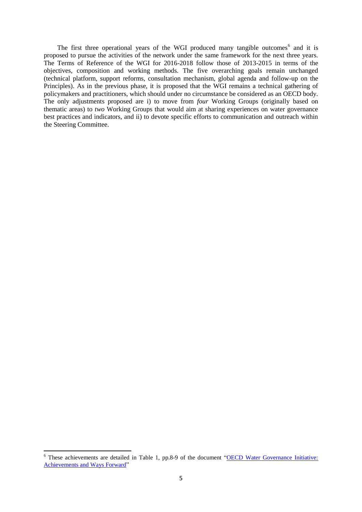The first three operational years of the WGI produced many tangible outcomes<sup>6</sup> and it is proposed to pursue the activities of the network under the same framework for the next three years. The Terms of Reference of the WGI for 2016-2018 follow those of 2013-2015 in terms of the objectives, composition and working methods. The five overarching goals remain unchanged (technical platform, support reforms, consultation mechanism, global agenda and follow-up on the Principles). As in the previous phase, it is proposed that the WGI remains a technical gathering of policymakers and practitioners, which should under no circumstance be considered as an OECD body. The only adjustments proposed are i) to move from *four* Working Groups (originally based on thematic areas) to *two* Working Groups that would aim at sharing experiences on water governance best practices and indicators, and ii) to devote specific efforts to communication and outreach within the Steering Committee.

**.** 

<sup>&</sup>lt;sup>6</sup> These achievements are detailed in Table 1, pp.8-9 of the document "OECD Water Governance Initiative: [Achievements and Ways Forward"](http://www.oecd.org/gov/regional-policy/WGI-Achievements-Ways-Forward.pdf)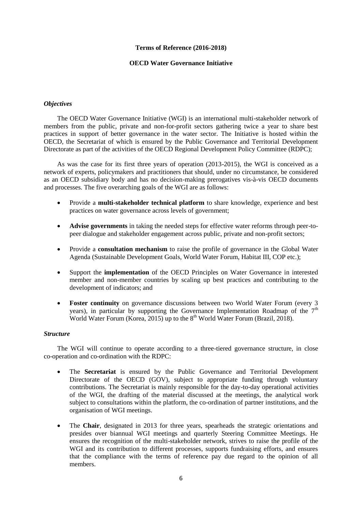# **Terms of Reference (2016-2018)**

# **OECD Water Governance Initiative**

# <span id="page-5-1"></span><span id="page-5-0"></span>*Objectives*

The OECD Water Governance Initiative (WGI) is an international multi-stakeholder network of members from the public, private and non-for-profit sectors gathering twice a year to share best practices in support of better governance in the water sector. The Initiative is hosted within the OECD, the Secretariat of which is ensured by the Public Governance and Territorial Development Directorate as part of the activities of the OECD Regional Development Policy Committee (RDPC);

As was the case for its first three years of operation (2013-2015), the WGI is conceived as a network of experts, policymakers and practitioners that should, under no circumstance, be considered as an OECD subsidiary body and has no decision-making prerogatives vis-à-vis OECD documents and processes. The five overarching goals of the WGI are as follows:

- Provide a **multi-stakeholder technical platform** to share knowledge, experience and best practices on water governance across levels of government;
- **Advise governments** in taking the needed steps for effective water reforms through peer-topeer dialogue and stakeholder engagement across public, private and non-profit sectors;
- Provide a **consultation mechanism** to raise the profile of governance in the Global Water Agenda (Sustainable Development Goals, World Water Forum, Habitat III, COP etc.);
- Support the **implementation** of the OECD Principles on Water Governance in interested member and non-member countries by scaling up best practices and contributing to the development of indicators; and
- **Foster continuity** on governance discussions between two World Water Forum (every 3 years), in particular by supporting the Governance Implementation Roadmap of the  $7<sup>th</sup>$ World Water Forum (Korea, 2015) up to the  $8<sup>th</sup>$  World Water Forum (Brazil, 2018).

#### <span id="page-5-2"></span>*Structure*

The WGI will continue to operate according to a three-tiered governance structure, in close co-operation and co-ordination with the RDPC:

- The **Secretariat** is ensured by the Public Governance and Territorial Development Directorate of the OECD (GOV), subject to appropriate funding through voluntary contributions. The Secretariat is mainly responsible for the day-to-day operational activities of the WGI, the drafting of the material discussed at the meetings, the analytical work subject to consultations within the platform, the co-ordination of partner institutions, and the organisation of WGI meetings.
- The **Chair**, designated in 2013 for three years, spearheads the strategic orientations and presides over biannual WGI meetings and quarterly Steering Committee Meetings. He ensures the recognition of the multi-stakeholder network, strives to raise the profile of the WGI and its contribution to different processes, supports fundraising efforts, and ensures that the compliance with the terms of reference pay due regard to the opinion of all members.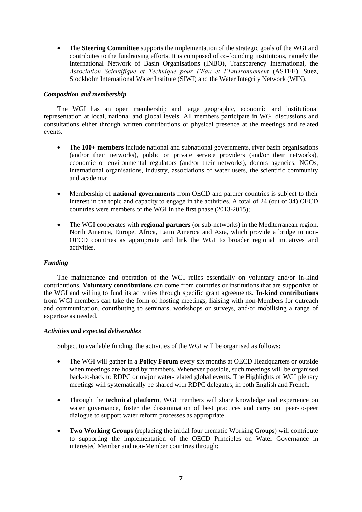The **Steering Committee** supports the implementation of the strategic goals of the WGI and contributes to the fundraising efforts. It is composed of co-founding institutions, namely the International Network of Basin Organisations (INBO), Transparency International, the *Association Scientifique et Technique pour l'Eau et l'Environnement* (ASTEE), Suez, Stockholm International Water Institute (SIWI) and the Water Integrity Network (WIN).

# <span id="page-6-0"></span>*Composition and membership*

The WGI has an open membership and large geographic, economic and institutional representation at local, national and global levels. All members participate in WGI discussions and consultations either through written contributions or physical presence at the meetings and related events.

- The **100+ members** include national and subnational governments, river basin organisations (and/or their networks), public or private service providers (and/or their networks), economic or environmental regulators (and/or their networks), donors agencies, NGOs, international organisations, industry, associations of water users, the scientific community and academia;
- Membership of **national governments** from OECD and partner countries is subject to their interest in the topic and capacity to engage in the activities. A total of 24 (out of 34) OECD countries were members of the WGI in the first phase (2013-2015);
- The WGI cooperates with **regional partners** (or sub-networks) in the Mediterranean region, North America, Europe, Africa, Latin America and Asia, which provide a bridge to non-OECD countries as appropriate and link the WGI to broader regional initiatives and activities.

# <span id="page-6-1"></span>*Funding*

The maintenance and operation of the WGI relies essentially on voluntary and/or in-kind contributions. **Voluntary contributions** can come from countries or institutions that are supportive of the WGI and willing to fund its activities through specific grant agreements. **In-kind contributions** from WGI members can take the form of hosting meetings, liaising with non-Members for outreach and communication, contributing to seminars, workshops or surveys, and/or mobilising a range of expertise as needed.

# <span id="page-6-2"></span>*Activities and expected deliverables*

Subject to available funding, the activities of the WGI will be organised as follows:

- The WGI will gather in a **Policy Forum** every six months at OECD Headquarters or outside when meetings are hosted by members. Whenever possible, such meetings will be organised back-to-back to RDPC or major water-related global events. The Highlights of WGI plenary meetings will systematically be shared with RDPC delegates, in both English and French.
- Through the **technical platform**, WGI members will share knowledge and experience on water governance, foster the dissemination of best practices and carry out peer-to-peer dialogue to support water reform processes as appropriate.
- **Two Working Groups** (replacing the initial four thematic Working Groups) will contribute to supporting the implementation of the OECD Principles on Water Governance in interested Member and non-Member countries through: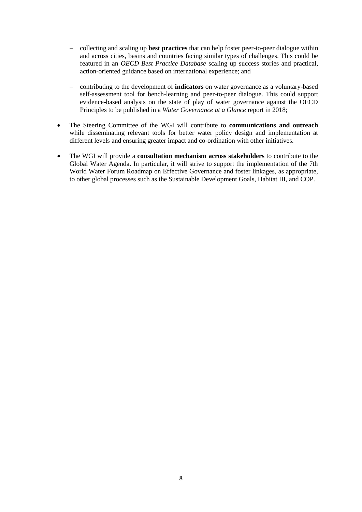- collecting and scaling up **best practices** that can help foster peer-to-peer dialogue within and across cities, basins and countries facing similar types of challenges. This could be featured in an *OECD Best Practice Database* scaling up success stories and practical, action-oriented guidance based on international experience; and
- contributing to the development of **indicators** on water governance as a voluntary-based self-assessment tool for bench-learning and peer-to-peer dialogue. This could support evidence-based analysis on the state of play of water governance against the OECD Principles to be published in a *Water Governance at a Glance* report in 2018;
- The Steering Committee of the WGI will contribute to **communications and outreach** while disseminating relevant tools for better water policy design and implementation at different levels and ensuring greater impact and co-ordination with other initiatives.
- The WGI will provide a **consultation mechanism across stakeholders** to contribute to the Global Water Agenda. In particular, it will strive to support the implementation of the 7th World Water Forum Roadmap on Effective Governance and foster linkages, as appropriate, to other global processes such as the Sustainable Development Goals, Habitat III, and COP.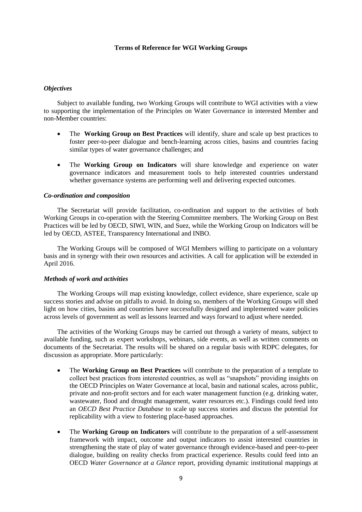# **Terms of Reference for WGI Working Groups**

### <span id="page-8-1"></span><span id="page-8-0"></span>*Objectives*

Subject to available funding, two Working Groups will contribute to WGI activities with a view to supporting the implementation of the Principles on Water Governance in interested Member and non-Member countries:

- The **Working Group on Best Practices** will identify, share and scale up best practices to foster peer-to-peer dialogue and bench-learning across cities, basins and countries facing similar types of water governance challenges; and
- The **Working Group on Indicators** will share knowledge and experience on water governance indicators and measurement tools to help interested countries understand whether governance systems are performing well and delivering expected outcomes.

# <span id="page-8-2"></span>*Co-ordination and composition*

The Secretariat will provide facilitation, co-ordination and support to the activities of both Working Groups in co-operation with the Steering Committee members. The Working Group on Best Practices will be led by OECD, SIWI, WIN, and Suez, while the Working Group on Indicators will be led by OECD, ASTEE, Transparency International and INBO.

The Working Groups will be composed of WGI Members willing to participate on a voluntary basis and in synergy with their own resources and activities. A call for application will be extended in April 2016.

#### <span id="page-8-3"></span>*Methods of work and activities*

The Working Groups will map existing knowledge, collect evidence, share experience, scale up success stories and advise on pitfalls to avoid. In doing so, members of the Working Groups will shed light on how cities, basins and countries have successfully designed and implemented water policies across levels of government as well as lessons learned and ways forward to adjust where needed.

The activities of the Working Groups may be carried out through a variety of means, subject to available funding, such as expert workshops, webinars, side events, as well as written comments on documents of the Secretariat. The results will be shared on a regular basis with RDPC delegates, for discussion as appropriate. More particularly:

- The **Working Group on Best Practices** will contribute to the preparation of a template to collect best practices from interested countries, as well as "snapshots" providing insights on the OECD Principles on Water Governance at local, basin and national scales, across public, private and non-profit sectors and for each water management function (e.g. drinking water, wastewater, flood and drought management, water resources etc.). Findings could feed into an *OECD Best Practice Database* to scale up success stories and discuss the potential for replicability with a view to fostering place-based approaches.
- The **Working Group on Indicators** will contribute to the preparation of a self-assessment framework with impact, outcome and output indicators to assist interested countries in strengthening the state of play of water governance through evidence-based and peer-to-peer dialogue, building on reality checks from practical experience. Results could feed into an OECD *Water Governance at a Glance* report, providing dynamic institutional mappings at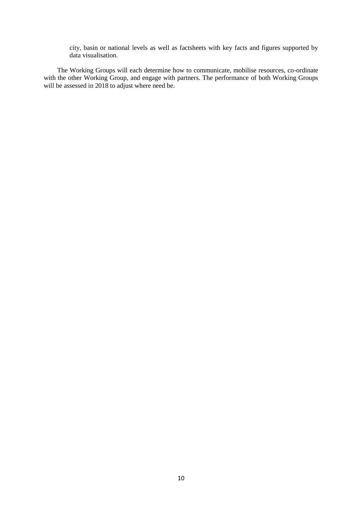city, basin or national levels as well as factsheets with key facts and figures supported by data visualisation.

The Working Groups will each determine how to communicate, mobilise resources, co-ordinate with the other Working Group, and engage with partners. The performance of both Working Groups will be assessed in 2018 to adjust where need be.